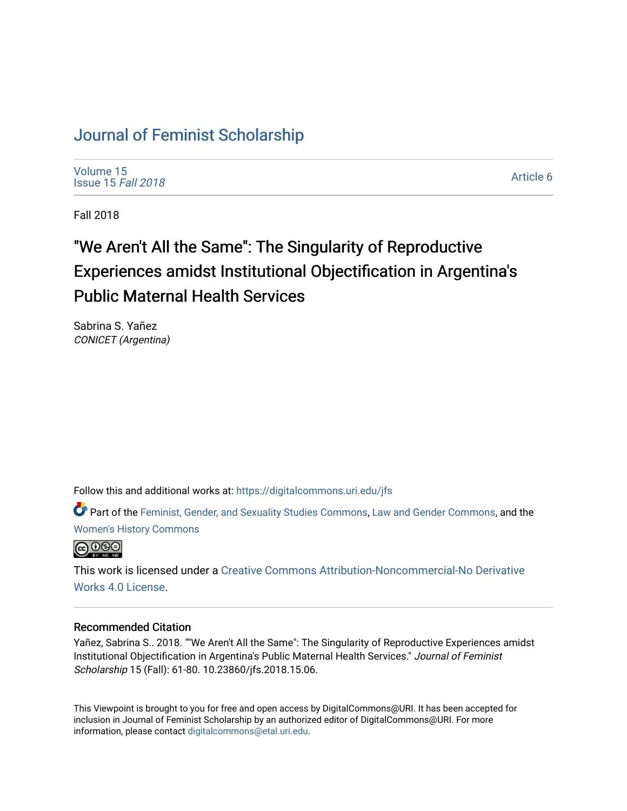# [Journal of Feminist Scholarship](https://digitalcommons.uri.edu/jfs)

[Volume 15](https://digitalcommons.uri.edu/jfs/vol15) [Issue 15](https://digitalcommons.uri.edu/jfs/vol15/iss15) Fall 2018

[Article 6](https://digitalcommons.uri.edu/jfs/vol15/iss15/6) 

Fall 2018

# "We Aren't All the Same": The Singularity of Reproductive Experiences amidst Institutional Objectification in Argentina's Public Maternal Health Services

Sabrina S. Yañez CONICET (Argentina)

Follow this and additional works at: [https://digitalcommons.uri.edu/jfs](https://digitalcommons.uri.edu/jfs?utm_source=digitalcommons.uri.edu%2Fjfs%2Fvol15%2Fiss15%2F6&utm_medium=PDF&utm_campaign=PDFCoverPages) 

Part of the [Feminist, Gender, and Sexuality Studies Commons](http://network.bepress.com/hgg/discipline/559?utm_source=digitalcommons.uri.edu%2Fjfs%2Fvol15%2Fiss15%2F6&utm_medium=PDF&utm_campaign=PDFCoverPages), [Law and Gender Commons,](http://network.bepress.com/hgg/discipline/1298?utm_source=digitalcommons.uri.edu%2Fjfs%2Fvol15%2Fiss15%2F6&utm_medium=PDF&utm_campaign=PDFCoverPages) and the [Women's History Commons](http://network.bepress.com/hgg/discipline/507?utm_source=digitalcommons.uri.edu%2Fjfs%2Fvol15%2Fiss15%2F6&utm_medium=PDF&utm_campaign=PDFCoverPages) 



This work is licensed under a [Creative Commons Attribution-Noncommercial-No Derivative](https://creativecommons.org/licenses/by-nc-nd/4.0/)  [Works 4.0 License](https://creativecommons.org/licenses/by-nc-nd/4.0/).

### Recommended Citation

Yañez, Sabrina S.. 2018. ""We Aren't All the Same": The Singularity of Reproductive Experiences amidst Institutional Objectification in Argentina's Public Maternal Health Services." Journal of Feminist Scholarship 15 (Fall): 61-80. 10.23860/jfs.2018.15.06.

This Viewpoint is brought to you for free and open access by DigitalCommons@URI. It has been accepted for inclusion in Journal of Feminist Scholarship by an authorized editor of DigitalCommons@URI. For more information, please contact [digitalcommons@etal.uri.edu.](mailto:digitalcommons@etal.uri.edu)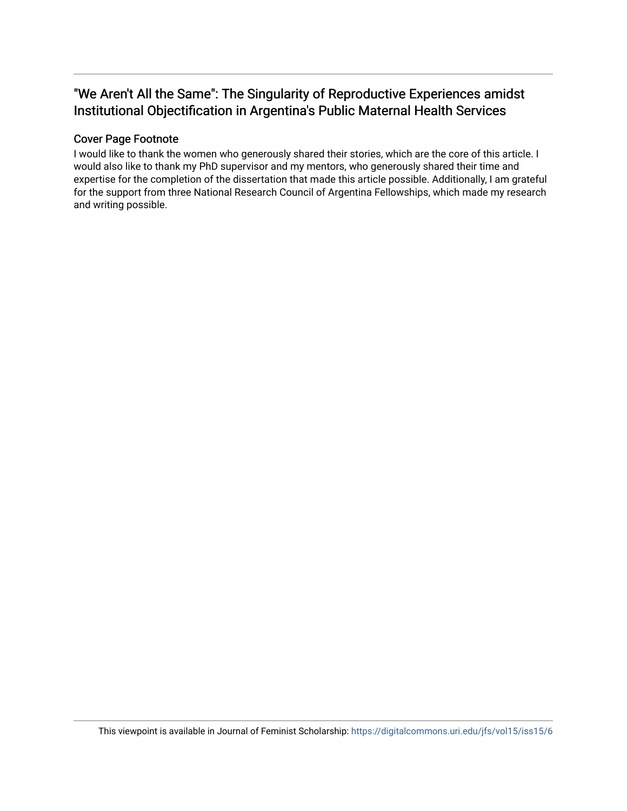# "We Aren't All the Same": The Singularity of Reproductive Experiences amidst Institutional Objectification in Argentina's Public Maternal Health Services

## Cover Page Footnote

I would like to thank the women who generously shared their stories, which are the core of this article. I would also like to thank my PhD supervisor and my mentors, who generously shared their time and expertise for the completion of the dissertation that made this article possible. Additionally, I am grateful for the support from three National Research Council of Argentina Fellowships, which made my research and writing possible.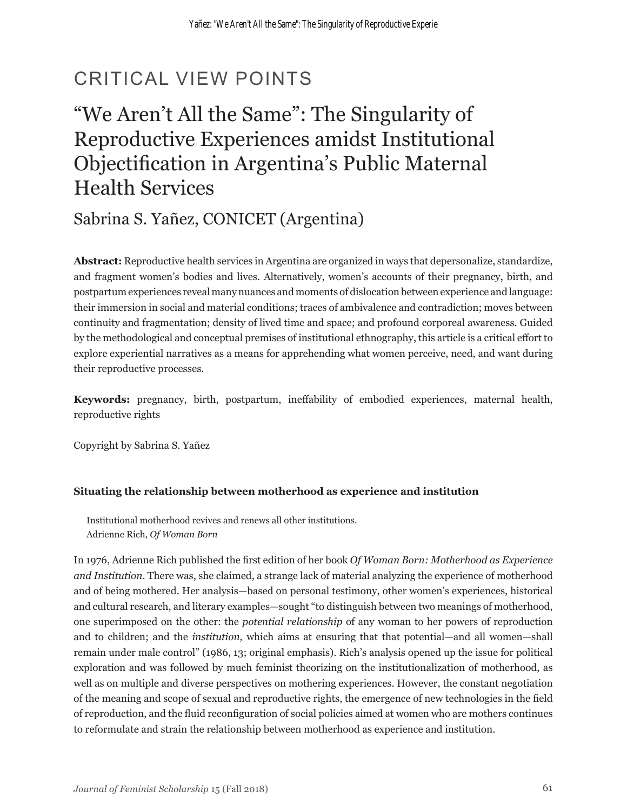# CRITICAL VIEW POINTS

# "We Aren't All the Same": The Singularity of Reproductive Experiences amidst Institutional Objectification in Argentina's Public Maternal Health Services

Sabrina S. Yañez, CONICET (Argentina)

**Abstract:** Reproductive health services in Argentina are organized in ways that depersonalize, standardize, and fragment women's bodies and lives. Alternatively, women's accounts of their pregnancy, birth, and postpartum experiences reveal many nuances and moments of dislocation between experience and language: their immersion in social and material conditions; traces of ambivalence and contradiction; moves between continuity and fragmentation; density of lived time and space; and profound corporeal awareness. Guided by the methodological and conceptual premises of institutional ethnography, this article is a critical effort to explore experiential narratives as a means for apprehending what women perceive, need, and want during their reproductive processes.

**Keywords:** pregnancy, birth, postpartum, ineffability of embodied experiences, maternal health, reproductive rights

Copyright by Sabrina S. Yañez

### **Situating the relationship between motherhood as experience and institution**

Institutional motherhood revives and renews all other institutions. Adrienne Rich, *Of Woman Born*

In 1976, Adrienne Rich published the first edition of her book *Of Woman Born: Motherhood as Experience and Institution*. There was, she claimed, a strange lack of material analyzing the experience of motherhood and of being mothered. Her analysis—based on personal testimony, other women's experiences, historical and cultural research, and literary examples—sought "to distinguish between two meanings of motherhood, one superimposed on the other: the *potential relationship* of any woman to her powers of reproduction and to children; and the *institution*, which aims at ensuring that that potential—and all women—shall remain under male control" (1986, 13; original emphasis). Rich's analysis opened up the issue for political exploration and was followed by much feminist theorizing on the institutionalization of motherhood, as well as on multiple and diverse perspectives on mothering experiences. However, the constant negotiation of the meaning and scope of sexual and reproductive rights, the emergence of new technologies in the field of reproduction, and the fluid reconfiguration of social policies aimed at women who are mothers continues to reformulate and strain the relationship between motherhood as experience and institution.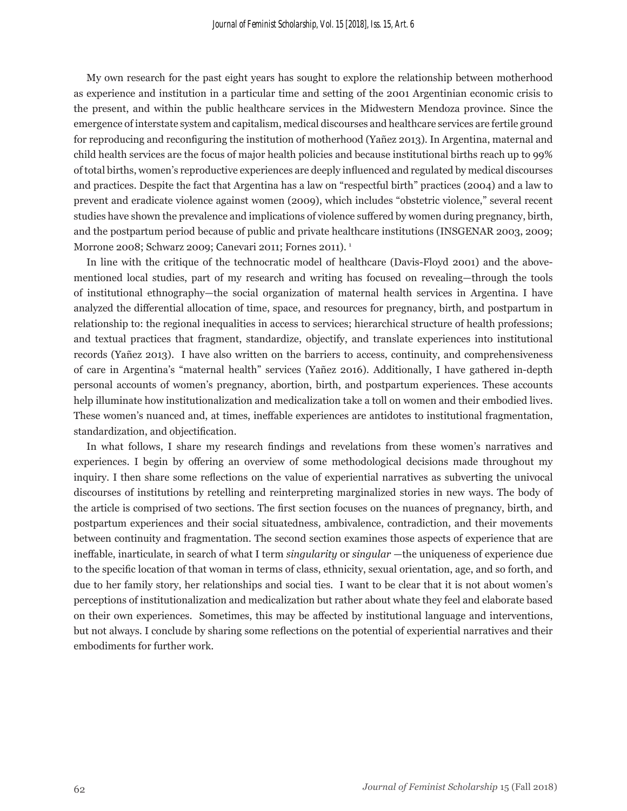My own research for the past eight years has sought to explore the relationship between motherhood as experience and institution in a particular time and setting of the 2001 Argentinian economic crisis to the present, and within the public healthcare services in the Midwestern Mendoza province. Since the emergence of interstate system and capitalism, medical discourses and healthcare services are fertile ground for reproducing and reconfiguring the institution of motherhood (Yañez 2013). In Argentina, maternal and child health services are the focus of major health policies and because institutional births reach up to 99% of total births, women's reproductive experiences are deeply influenced and regulated by medical discourses and practices. Despite the fact that Argentina has a law on "respectful birth" practices (2004) and a law to prevent and eradicate violence against women (2009), which includes "obstetric violence," several recent studies have shown the prevalence and implications of violence suffered by women during pregnancy, birth, and the postpartum period because of public and private healthcare institutions (INSGENAR 2003, 2009; Morrone 2008; Schwarz 2009; Canevari 2011; Fornes 2011). <sup>1</sup>

In line with the critique of the technocratic model of healthcare (Davis-Floyd 2001) and the abovementioned local studies, part of my research and writing has focused on revealing—through the tools of institutional ethnography—the social organization of maternal health services in Argentina. I have analyzed the differential allocation of time, space, and resources for pregnancy, birth, and postpartum in relationship to: the regional inequalities in access to services; hierarchical structure of health professions; and textual practices that fragment, standardize, objectify, and translate experiences into institutional records (Yañez 2013). I have also written on the barriers to access, continuity, and comprehensiveness of care in Argentina's "maternal health" services (Yañez 2016). Additionally, I have gathered in-depth personal accounts of women's pregnancy, abortion, birth, and postpartum experiences. These accounts help illuminate how institutionalization and medicalization take a toll on women and their embodied lives. These women's nuanced and, at times, ineffable experiences are antidotes to institutional fragmentation, standardization, and objectification.

In what follows, I share my research findings and revelations from these women's narratives and experiences. I begin by offering an overview of some methodological decisions made throughout my inquiry. I then share some reflections on the value of experiential narratives as subverting the univocal discourses of institutions by retelling and reinterpreting marginalized stories in new ways. The body of the article is comprised of two sections. The first section focuses on the nuances of pregnancy, birth, and postpartum experiences and their social situatedness, ambivalence, contradiction, and their movements between continuity and fragmentation. The second section examines those aspects of experience that are ineffable, inarticulate, in search of what I term *singularity* or *singular* —the uniqueness of experience due to the specific location of that woman in terms of class, ethnicity, sexual orientation, age, and so forth, and due to her family story, her relationships and social ties. I want to be clear that it is not about women's perceptions of institutionalization and medicalization but rather about whate they feel and elaborate based on their own experiences. Sometimes, this may be affected by institutional language and interventions, but not always. I conclude by sharing some reflections on the potential of experiential narratives and their embodiments for further work.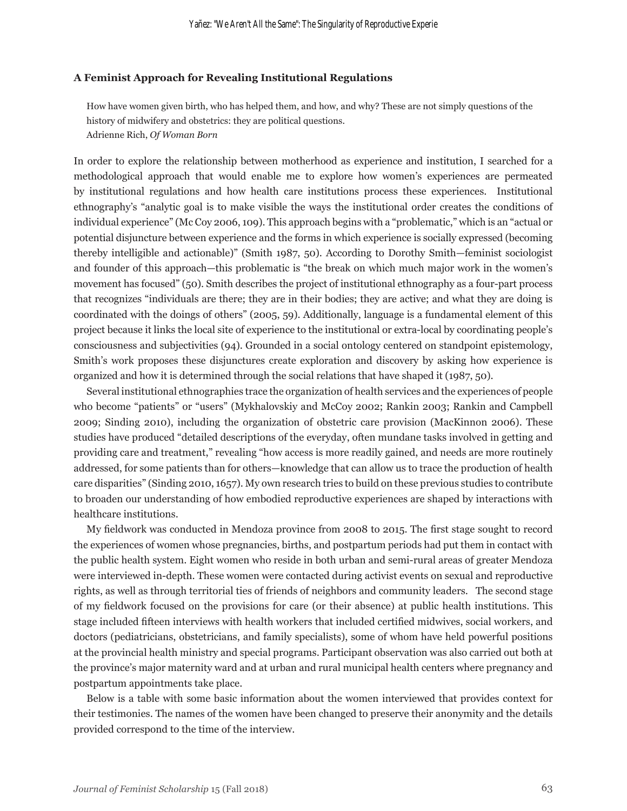#### **A Feminist Approach for Revealing Institutional Regulations**

How have women given birth, who has helped them, and how, and why? These are not simply questions of the history of midwifery and obstetrics: they are political questions. Adrienne Rich, *Of Woman Born*

In order to explore the relationship between motherhood as experience and institution, I searched for a methodological approach that would enable me to explore how women's experiences are permeated by institutional regulations and how health care institutions process these experiences. Institutional ethnography's "analytic goal is to make visible the ways the institutional order creates the conditions of individual experience" (Mc Coy 2006, 109). This approach begins with a "problematic," which is an "actual or potential disjuncture between experience and the forms in which experience is socially expressed (becoming thereby intelligible and actionable)" (Smith 1987, 50). According to Dorothy Smith—feminist sociologist and founder of this approach—this problematic is "the break on which much major work in the women's movement has focused" (50). Smith describes the project of institutional ethnography as a four-part process that recognizes "individuals are there; they are in their bodies; they are active; and what they are doing is coordinated with the doings of others" (2005, 59). Additionally, language is a fundamental element of this project because it links the local site of experience to the institutional or extra-local by coordinating people's consciousness and subjectivities (94). Grounded in a social ontology centered on standpoint epistemology, Smith's work proposes these disjunctures create exploration and discovery by asking how experience is organized and how it is determined through the social relations that have shaped it (1987, 50).

Several institutional ethnographies trace the organization of health services and the experiences of people who become "patients" or "users" (Mykhalovskiy and McCoy 2002; Rankin 2003; Rankin and Campbell 2009; Sinding 2010), including the organization of obstetric care provision (MacKinnon 2006). These studies have produced "detailed descriptions of the everyday, often mundane tasks involved in getting and providing care and treatment," revealing "how access is more readily gained, and needs are more routinely addressed, for some patients than for others—knowledge that can allow us to trace the production of health care disparities" (Sinding 2010, 1657). My own research tries to build on these previous studies to contribute to broaden our understanding of how embodied reproductive experiences are shaped by interactions with healthcare institutions.

My fieldwork was conducted in Mendoza province from 2008 to 2015. The first stage sought to record the experiences of women whose pregnancies, births, and postpartum periods had put them in contact with the public health system. Eight women who reside in both urban and semi-rural areas of greater Mendoza were interviewed in-depth. These women were contacted during activist events on sexual and reproductive rights, as well as through territorial ties of friends of neighbors and community leaders. The second stage of my fieldwork focused on the provisions for care (or their absence) at public health institutions. This stage included fifteen interviews with health workers that included certified midwives, social workers, and doctors (pediatricians, obstetricians, and family specialists), some of whom have held powerful positions at the provincial health ministry and special programs. Participant observation was also carried out both at the province's major maternity ward and at urban and rural municipal health centers where pregnancy and postpartum appointments take place.

Below is a table with some basic information about the women interviewed that provides context for their testimonies. The names of the women have been changed to preserve their anonymity and the details provided correspond to the time of the interview.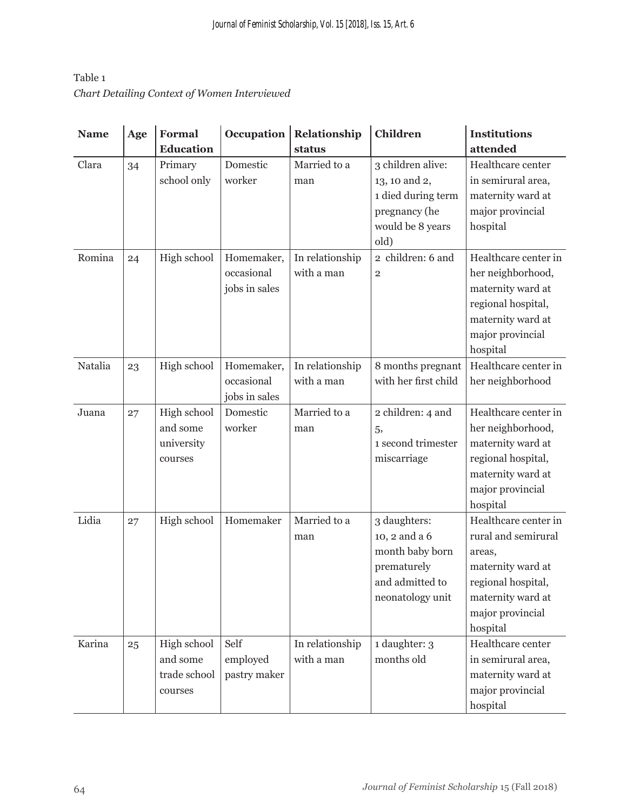## Table 1 *Chart Detailing Context of Women Interviewed*

| <b>Name</b> | Age | Formal           | Occupation    | Relationship    | <b>Children</b>      | <b>Institutions</b>  |
|-------------|-----|------------------|---------------|-----------------|----------------------|----------------------|
|             |     | <b>Education</b> |               | status          |                      | attended             |
| Clara       | 34  | Primary          | Domestic      | Married to a    | 3 children alive:    | Healthcare center    |
|             |     | school only      | worker        | man             | 13, 10 and 2,        | in semirural area,   |
|             |     |                  |               |                 | 1 died during term   | maternity ward at    |
|             |     |                  |               |                 | pregnancy (he        | major provincial     |
|             |     |                  |               |                 | would be 8 years     | hospital             |
|             |     |                  |               |                 | old)                 |                      |
| Romina      | 24  | High school      | Homemaker,    | In relationship | 2 children: 6 and    | Healthcare center in |
|             |     |                  | occasional    | with a man      | $\overline{2}$       | her neighborhood,    |
|             |     |                  | jobs in sales |                 |                      | maternity ward at    |
|             |     |                  |               |                 |                      | regional hospital,   |
|             |     |                  |               |                 |                      | maternity ward at    |
|             |     |                  |               |                 |                      | major provincial     |
|             |     |                  |               |                 |                      | hospital             |
| Natalia     | 23  | High school      | Homemaker,    | In relationship | 8 months pregnant    | Healthcare center in |
|             |     |                  | occasional    | with a man      | with her first child | her neighborhood     |
|             |     |                  | jobs in sales |                 |                      |                      |
| Juana       | 27  | High school      | Domestic      | Married to a    | 2 children: 4 and    | Healthcare center in |
|             |     | and some         | worker        | man             | 5,                   | her neighborhood,    |
|             |     | university       |               |                 | 1 second trimester   | maternity ward at    |
|             |     | courses          |               |                 | miscarriage          | regional hospital,   |
|             |     |                  |               |                 |                      | maternity ward at    |
|             |     |                  |               |                 |                      | major provincial     |
|             |     |                  |               |                 |                      | hospital             |
| Lidia       | 27  | High school      | Homemaker     | Married to a    | 3 daughters:         | Healthcare center in |
|             |     |                  |               | man             | 10, 2 and a 6        | rural and semirural  |
|             |     |                  |               |                 | month baby born      | areas,               |
|             |     |                  |               |                 | prematurely          | maternity ward at    |
|             |     |                  |               |                 | and admitted to      | regional hospital,   |
|             |     |                  |               |                 | neonatology unit     | maternity ward at    |
|             |     |                  |               |                 |                      | major provincial     |
|             |     |                  |               |                 |                      | hospital             |
| Karina      | 25  | High school      | Self          | In relationship | 1 daughter: 3        | Healthcare center    |
|             |     | and some         | employed      | with a man      | months old           | in semirural area,   |
|             |     | trade school     | pastry maker  |                 |                      | maternity ward at    |
|             |     | courses          |               |                 |                      | major provincial     |
|             |     |                  |               |                 |                      | hospital             |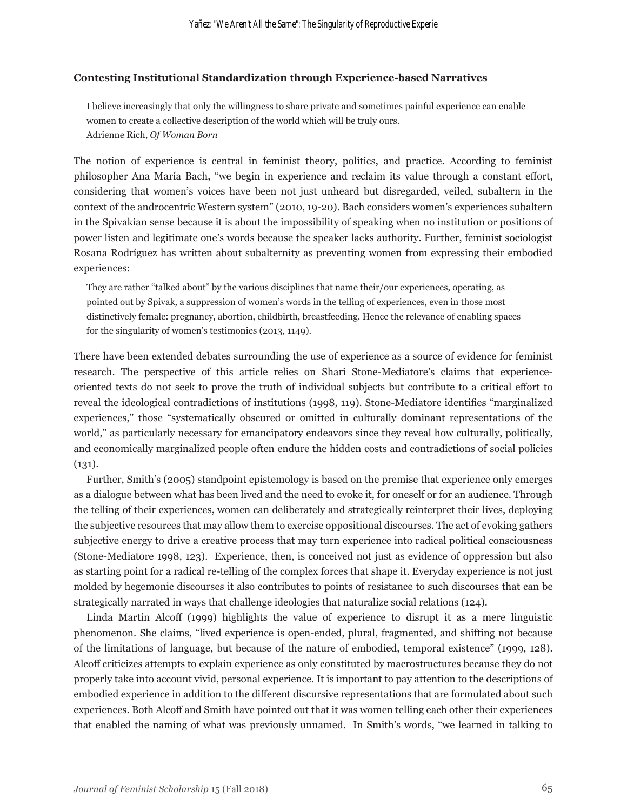#### **Contesting Institutional Standardization through Experience-based Narratives**

I believe increasingly that only the willingness to share private and sometimes painful experience can enable women to create a collective description of the world which will be truly ours. Adrienne Rich, *Of Woman Born*

The notion of experience is central in feminist theory, politics, and practice. According to feminist philosopher Ana María Bach, "we begin in experience and reclaim its value through a constant effort, considering that women's voices have been not just unheard but disregarded, veiled, subaltern in the context of the androcentric Western system" (2010, 19-20). Bach considers women's experiences subaltern in the Spivakian sense because it is about the impossibility of speaking when no institution or positions of power listen and legitimate one's words because the speaker lacks authority. Further, feminist sociologist Rosana Rodríguez has written about subalternity as preventing women from expressing their embodied experiences:

They are rather "talked about" by the various disciplines that name their/our experiences, operating, as pointed out by Spivak, a suppression of women's words in the telling of experiences, even in those most distinctively female: pregnancy, abortion, childbirth, breastfeeding. Hence the relevance of enabling spaces for the singularity of women's testimonies (2013, 1149).

There have been extended debates surrounding the use of experience as a source of evidence for feminist research. The perspective of this article relies on Shari Stone-Mediatore's claims that experienceoriented texts do not seek to prove the truth of individual subjects but contribute to a critical effort to reveal the ideological contradictions of institutions (1998, 119). Stone-Mediatore identifies "marginalized experiences," those "systematically obscured or omitted in culturally dominant representations of the world," as particularly necessary for emancipatory endeavors since they reveal how culturally, politically, and economically marginalized people often endure the hidden costs and contradictions of social policies  $(131)$ .

Further, Smith's (2005) standpoint epistemology is based on the premise that experience only emerges as a dialogue between what has been lived and the need to evoke it, for oneself or for an audience. Through the telling of their experiences, women can deliberately and strategically reinterpret their lives, deploying the subjective resources that may allow them to exercise oppositional discourses. The act of evoking gathers subjective energy to drive a creative process that may turn experience into radical political consciousness (Stone-Mediatore 1998, 123). Experience, then, is conceived not just as evidence of oppression but also as starting point for a radical re-telling of the complex forces that shape it. Everyday experience is not just molded by hegemonic discourses it also contributes to points of resistance to such discourses that can be strategically narrated in ways that challenge ideologies that naturalize social relations (124).

Linda Martin Alcoff (1999) highlights the value of experience to disrupt it as a mere linguistic phenomenon. She claims, "lived experience is open-ended, plural, fragmented, and shifting not because of the limitations of language, but because of the nature of embodied, temporal existence" (1999, 128). Alcoff criticizes attempts to explain experience as only constituted by macrostructures because they do not properly take into account vivid, personal experience. It is important to pay attention to the descriptions of embodied experience in addition to the different discursive representations that are formulated about such experiences. Both Alcoff and Smith have pointed out that it was women telling each other their experiences that enabled the naming of what was previously unnamed. In Smith's words, "we learned in talking to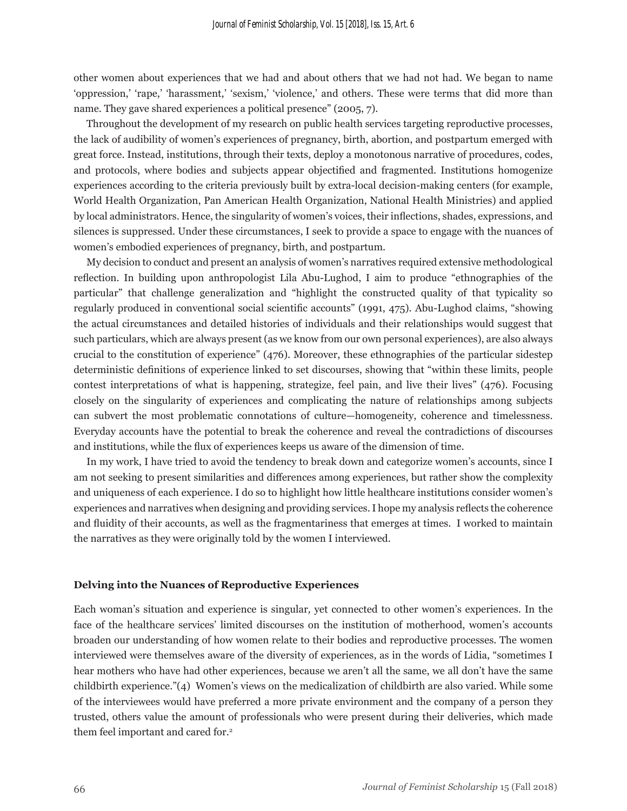other women about experiences that we had and about others that we had not had. We began to name 'oppression,' 'rape,' 'harassment,' 'sexism,' 'violence,' and others. These were terms that did more than name. They gave shared experiences a political presence" (2005, 7).

Throughout the development of my research on public health services targeting reproductive processes, the lack of audibility of women's experiences of pregnancy, birth, abortion, and postpartum emerged with great force. Instead, institutions, through their texts, deploy a monotonous narrative of procedures, codes, and protocols, where bodies and subjects appear objectified and fragmented. Institutions homogenize experiences according to the criteria previously built by extra-local decision-making centers (for example, World Health Organization, Pan American Health Organization, National Health Ministries) and applied by local administrators. Hence, the singularity of women's voices, their inflections, shades, expressions, and silences is suppressed. Under these circumstances, I seek to provide a space to engage with the nuances of women's embodied experiences of pregnancy, birth, and postpartum.

My decision to conduct and present an analysis of women's narratives required extensive methodological reflection. In building upon anthropologist Lila Abu-Lughod, I aim to produce "ethnographies of the particular" that challenge generalization and "highlight the constructed quality of that typicality so regularly produced in conventional social scientific accounts" (1991, 475). Abu-Lughod claims, "showing the actual circumstances and detailed histories of individuals and their relationships would suggest that such particulars, which are always present (as we know from our own personal experiences), are also always crucial to the constitution of experience" (476). Moreover, these ethnographies of the particular sidestep deterministic definitions of experience linked to set discourses, showing that "within these limits, people contest interpretations of what is happening, strategize, feel pain, and live their lives" (476). Focusing closely on the singularity of experiences and complicating the nature of relationships among subjects can subvert the most problematic connotations of culture—homogeneity, coherence and timelessness. Everyday accounts have the potential to break the coherence and reveal the contradictions of discourses and institutions, while the flux of experiences keeps us aware of the dimension of time.

In my work, I have tried to avoid the tendency to break down and categorize women's accounts, since I am not seeking to present similarities and differences among experiences, but rather show the complexity and uniqueness of each experience. I do so to highlight how little healthcare institutions consider women's experiences and narratives when designing and providing services. I hope my analysis reflects the coherence and fluidity of their accounts, as well as the fragmentariness that emerges at times. I worked to maintain the narratives as they were originally told by the women I interviewed.

#### **Delving into the Nuances of Reproductive Experiences**

Each woman's situation and experience is singular*,* yet connected to other women's experiences. In the face of the healthcare services' limited discourses on the institution of motherhood, women's accounts broaden our understanding of how women relate to their bodies and reproductive processes. The women interviewed were themselves aware of the diversity of experiences, as in the words of Lidia, "sometimes I hear mothers who have had other experiences, because we aren't all the same, we all don't have the same childbirth experience."(4) Women's views on the medicalization of childbirth are also varied. While some of the interviewees would have preferred a more private environment and the company of a person they trusted, others value the amount of professionals who were present during their deliveries, which made them feel important and cared for.<sup>2</sup>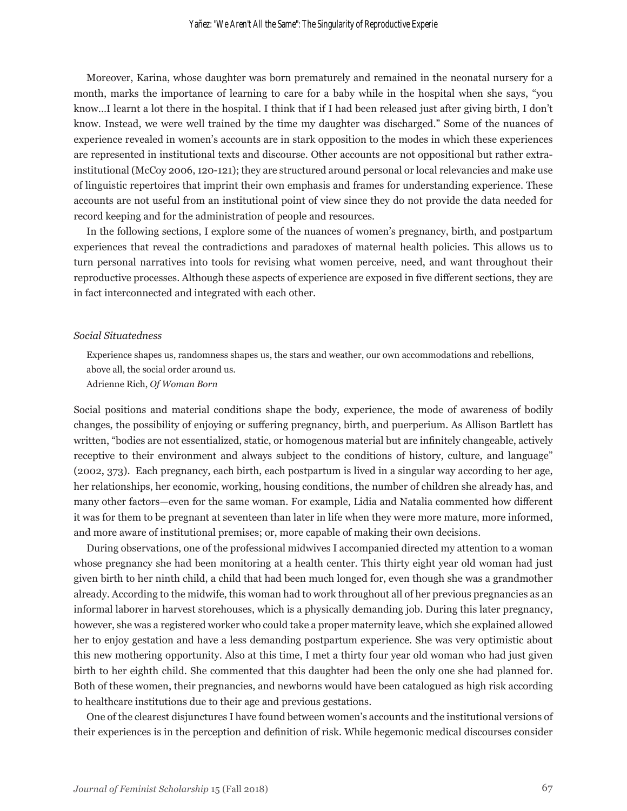Moreover, Karina, whose daughter was born prematurely and remained in the neonatal nursery for a month, marks the importance of learning to care for a baby while in the hospital when she says, "you know…I learnt a lot there in the hospital. I think that if I had been released just after giving birth, I don't know. Instead, we were well trained by the time my daughter was discharged." Some of the nuances of experience revealed in women's accounts are in stark opposition to the modes in which these experiences are represented in institutional texts and discourse. Other accounts are not oppositional but rather extrainstitutional (McCoy 2006, 120-121); they are structured around personal or local relevancies and make use of linguistic repertoires that imprint their own emphasis and frames for understanding experience. These accounts are not useful from an institutional point of view since they do not provide the data needed for record keeping and for the administration of people and resources.

In the following sections, I explore some of the nuances of women's pregnancy, birth, and postpartum experiences that reveal the contradictions and paradoxes of maternal health policies. This allows us to turn personal narratives into tools for revising what women perceive, need, and want throughout their reproductive processes. Although these aspects of experience are exposed in five different sections, they are in fact interconnected and integrated with each other.

#### *Social Situatedness*

Experience shapes us, randomness shapes us, the stars and weather, our own accommodations and rebellions, above all, the social order around us.

Adrienne Rich, *Of Woman Born*

Social positions and material conditions shape the body, experience, the mode of awareness of bodily changes, the possibility of enjoying or suffering pregnancy, birth, and puerperium. As Allison Bartlett has written, "bodies are not essentialized, static, or homogenous material but are infinitely changeable, actively receptive to their environment and always subject to the conditions of history, culture, and language" (2002, 373). Each pregnancy, each birth, each postpartum is lived in a singular way according to her age, her relationships, her economic, working, housing conditions, the number of children she already has, and many other factors—even for the same woman. For example, Lidia and Natalia commented how different it was for them to be pregnant at seventeen than later in life when they were more mature, more informed, and more aware of institutional premises; or, more capable of making their own decisions.

During observations, one of the professional midwives I accompanied directed my attention to a woman whose pregnancy she had been monitoring at a health center. This thirty eight year old woman had just given birth to her ninth child, a child that had been much longed for, even though she was a grandmother already. According to the midwife, this woman had to work throughout all of her previous pregnancies as an informal laborer in harvest storehouses, which is a physically demanding job. During this later pregnancy, however, she was a registered worker who could take a proper maternity leave, which she explained allowed her to enjoy gestation and have a less demanding postpartum experience. She was very optimistic about this new mothering opportunity. Also at this time, I met a thirty four year old woman who had just given birth to her eighth child. She commented that this daughter had been the only one she had planned for. Both of these women, their pregnancies, and newborns would have been catalogued as high risk according to healthcare institutions due to their age and previous gestations.

One of the clearest disjunctures I have found between women's accounts and the institutional versions of their experiences is in the perception and definition of risk. While hegemonic medical discourses consider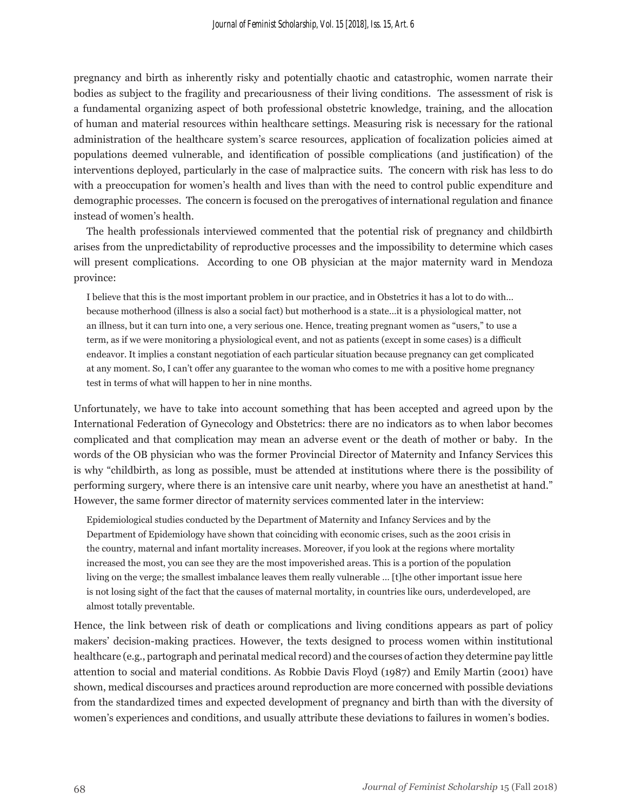pregnancy and birth as inherently risky and potentially chaotic and catastrophic, women narrate their bodies as subject to the fragility and precariousness of their living conditions. The assessment of risk is a fundamental organizing aspect of both professional obstetric knowledge, training, and the allocation of human and material resources within healthcare settings. Measuring risk is necessary for the rational administration of the healthcare system's scarce resources, application of focalization policies aimed at populations deemed vulnerable, and identification of possible complications (and justification) of the interventions deployed, particularly in the case of malpractice suits. The concern with risk has less to do with a preoccupation for women's health and lives than with the need to control public expenditure and demographic processes. The concern is focused on the prerogatives of international regulation and finance instead of women's health.

The health professionals interviewed commented that the potential risk of pregnancy and childbirth arises from the unpredictability of reproductive processes and the impossibility to determine which cases will present complications. According to one OB physician at the major maternity ward in Mendoza province:

I believe that this is the most important problem in our practice, and in Obstetrics it has a lot to do with… because motherhood (illness is also a social fact) but motherhood is a state…it is a physiological matter, not an illness, but it can turn into one, a very serious one. Hence, treating pregnant women as "users," to use a term, as if we were monitoring a physiological event, and not as patients (except in some cases) is a difficult endeavor. It implies a constant negotiation of each particular situation because pregnancy can get complicated at any moment. So, I can't offer any guarantee to the woman who comes to me with a positive home pregnancy test in terms of what will happen to her in nine months.

Unfortunately, we have to take into account something that has been accepted and agreed upon by the International Federation of Gynecology and Obstetrics: there are no indicators as to when labor becomes complicated and that complication may mean an adverse event or the death of mother or baby. In the words of the OB physician who was the former Provincial Director of Maternity and Infancy Services this is why "childbirth, as long as possible, must be attended at institutions where there is the possibility of performing surgery, where there is an intensive care unit nearby, where you have an anesthetist at hand." However, the same former director of maternity services commented later in the interview:

Epidemiological studies conducted by the Department of Maternity and Infancy Services and by the Department of Epidemiology have shown that coinciding with economic crises, such as the 2001 crisis in the country, maternal and infant mortality increases. Moreover, if you look at the regions where mortality increased the most, you can see they are the most impoverished areas. This is a portion of the population living on the verge; the smallest imbalance leaves them really vulnerable … [t]he other important issue here is not losing sight of the fact that the causes of maternal mortality, in countries like ours, underdeveloped, are almost totally preventable.

Hence, the link between risk of death or complications and living conditions appears as part of policy makers' decision-making practices. However, the texts designed to process women within institutional healthcare (e.g., partograph and perinatal medical record) and the courses of action they determine pay little attention to social and material conditions. As Robbie Davis Floyd (1987) and Emily Martin (2001) have shown, medical discourses and practices around reproduction are more concerned with possible deviations from the standardized times and expected development of pregnancy and birth than with the diversity of women's experiences and conditions, and usually attribute these deviations to failures in women's bodies.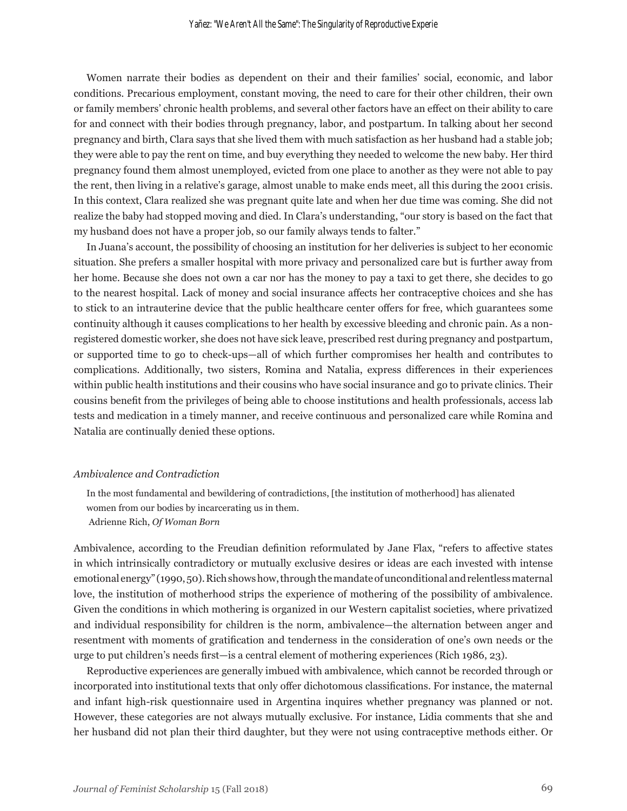Women narrate their bodies as dependent on their and their families' social, economic, and labor conditions. Precarious employment, constant moving, the need to care for their other children, their own or family members' chronic health problems, and several other factors have an effect on their ability to care for and connect with their bodies through pregnancy, labor, and postpartum. In talking about her second pregnancy and birth, Clara says that she lived them with much satisfaction as her husband had a stable job; they were able to pay the rent on time, and buy everything they needed to welcome the new baby. Her third pregnancy found them almost unemployed, evicted from one place to another as they were not able to pay the rent, then living in a relative's garage, almost unable to make ends meet, all this during the 2001 crisis. In this context, Clara realized she was pregnant quite late and when her due time was coming. She did not realize the baby had stopped moving and died. In Clara's understanding, "our story is based on the fact that my husband does not have a proper job, so our family always tends to falter."

In Juana's account, the possibility of choosing an institution for her deliveries is subject to her economic situation. She prefers a smaller hospital with more privacy and personalized care but is further away from her home. Because she does not own a car nor has the money to pay a taxi to get there, she decides to go to the nearest hospital. Lack of money and social insurance affects her contraceptive choices and she has to stick to an intrauterine device that the public healthcare center offers for free, which guarantees some continuity although it causes complications to her health by excessive bleeding and chronic pain. As a nonregistered domestic worker, she does not have sick leave, prescribed rest during pregnancy and postpartum, or supported time to go to check-ups—all of which further compromises her health and contributes to complications. Additionally, two sisters, Romina and Natalia, express differences in their experiences within public health institutions and their cousins who have social insurance and go to private clinics. Their cousins benefit from the privileges of being able to choose institutions and health professionals, access lab tests and medication in a timely manner, and receive continuous and personalized care while Romina and Natalia are continually denied these options.

#### *Ambivalence and Contradiction*

In the most fundamental and bewildering of contradictions, [the institution of motherhood] has alienated women from our bodies by incarcerating us in them.

Adrienne Rich, *Of Woman Born*

Ambivalence, according to the Freudian definition reformulated by Jane Flax, "refers to affective states in which intrinsically contradictory or mutually exclusive desires or ideas are each invested with intense emotional energy" (1990, 50). Rich shows how, through the mandate of unconditional and relentless maternal love, the institution of motherhood strips the experience of mothering of the possibility of ambivalence. Given the conditions in which mothering is organized in our Western capitalist societies, where privatized and individual responsibility for children is the norm, ambivalence—the alternation between anger and resentment with moments of gratification and tenderness in the consideration of one's own needs or the urge to put children's needs first—is a central element of mothering experiences (Rich 1986, 23).

Reproductive experiences are generally imbued with ambivalence, which cannot be recorded through or incorporated into institutional texts that only offer dichotomous classifications. For instance, the maternal and infant high-risk questionnaire used in Argentina inquires whether pregnancy was planned or not. However, these categories are not always mutually exclusive. For instance, Lidia comments that she and her husband did not plan their third daughter, but they were not using contraceptive methods either. Or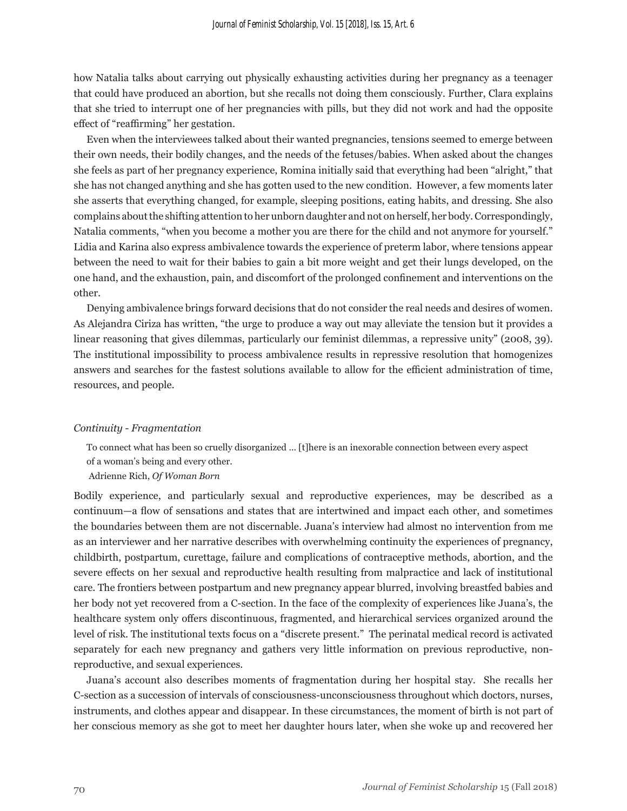how Natalia talks about carrying out physically exhausting activities during her pregnancy as a teenager that could have produced an abortion, but she recalls not doing them consciously. Further, Clara explains that she tried to interrupt one of her pregnancies with pills, but they did not work and had the opposite effect of "reaffirming" her gestation.

Even when the interviewees talked about their wanted pregnancies, tensions seemed to emerge between their own needs, their bodily changes, and the needs of the fetuses/babies. When asked about the changes she feels as part of her pregnancy experience, Romina initially said that everything had been "alright," that she has not changed anything and she has gotten used to the new condition. However, a few moments later she asserts that everything changed, for example, sleeping positions, eating habits, and dressing. She also complains about the shifting attention to her unborn daughter and not on herself, her body. Correspondingly, Natalia comments, "when you become a mother you are there for the child and not anymore for yourself." Lidia and Karina also express ambivalence towards the experience of preterm labor, where tensions appear between the need to wait for their babies to gain a bit more weight and get their lungs developed, on the one hand, and the exhaustion, pain, and discomfort of the prolonged confinement and interventions on the other.

Denying ambivalence brings forward decisions that do not consider the real needs and desires of women. As Alejandra Ciriza has written, "the urge to produce a way out may alleviate the tension but it provides a linear reasoning that gives dilemmas, particularly our feminist dilemmas, a repressive unity" (2008, 39). The institutional impossibility to process ambivalence results in repressive resolution that homogenizes answers and searches for the fastest solutions available to allow for the efficient administration of time, resources, and people.

#### *Continuity - Fragmentation*

To connect what has been so cruelly disorganized … [t]here is an inexorable connection between every aspect of a woman's being and every other.

Adrienne Rich, *Of Woman Born*

Bodily experience, and particularly sexual and reproductive experiences, may be described as a continuum—a flow of sensations and states that are intertwined and impact each other, and sometimes the boundaries between them are not discernable. Juana's interview had almost no intervention from me as an interviewer and her narrative describes with overwhelming continuity the experiences of pregnancy, childbirth, postpartum, curettage, failure and complications of contraceptive methods, abortion, and the severe effects on her sexual and reproductive health resulting from malpractice and lack of institutional care. The frontiers between postpartum and new pregnancy appear blurred, involving breastfed babies and her body not yet recovered from a C-section. In the face of the complexity of experiences like Juana's, the healthcare system only offers discontinuous, fragmented, and hierarchical services organized around the level of risk. The institutional texts focus on a "discrete present." The perinatal medical record is activated separately for each new pregnancy and gathers very little information on previous reproductive, nonreproductive, and sexual experiences.

Juana's account also describes moments of fragmentation during her hospital stay. She recalls her C-section as a succession of intervals of consciousness-unconsciousness throughout which doctors, nurses, instruments, and clothes appear and disappear. In these circumstances, the moment of birth is not part of her conscious memory as she got to meet her daughter hours later, when she woke up and recovered her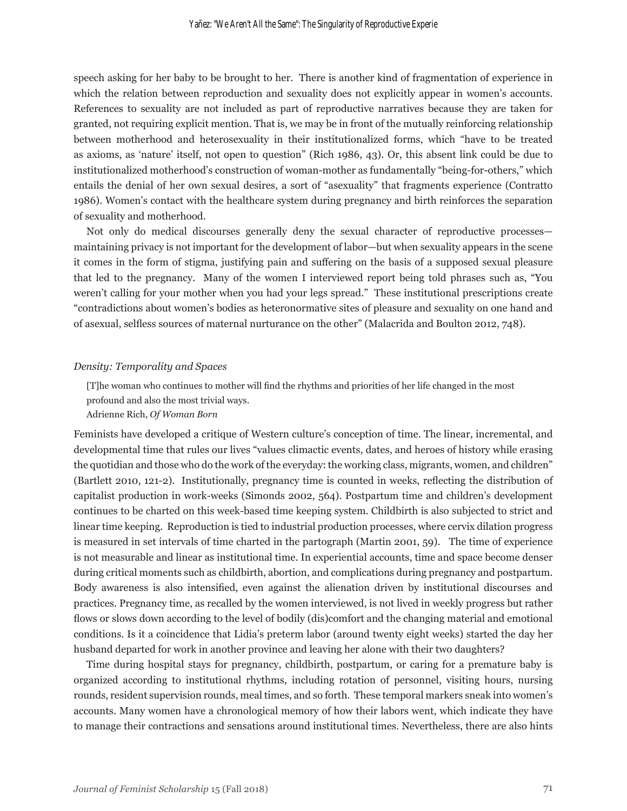speech asking for her baby to be brought to her. There is another kind of fragmentation of experience in which the relation between reproduction and sexuality does not explicitly appear in women's accounts. References to sexuality are not included as part of reproductive narratives because they are taken for granted, not requiring explicit mention. That is, we may be in front of the mutually reinforcing relationship between motherhood and heterosexuality in their institutionalized forms, which "have to be treated as axioms, as 'nature' itself, not open to question" (Rich 1986, 43). Or, this absent link could be due to institutionalized motherhood's construction of woman-mother as fundamentally "being-for-others," which entails the denial of her own sexual desires, a sort of "asexuality" that fragments experience (Contratto 1986). Women's contact with the healthcare system during pregnancy and birth reinforces the separation of sexuality and motherhood.

Not only do medical discourses generally deny the sexual character of reproductive processes maintaining privacy is not important for the development of labor—but when sexuality appears in the scene it comes in the form of stigma, justifying pain and suffering on the basis of a supposed sexual pleasure that led to the pregnancy. Many of the women I interviewed report being told phrases such as, "You weren't calling for your mother when you had your legs spread." These institutional prescriptions create "contradictions about women's bodies as heteronormative sites of pleasure and sexuality on one hand and of asexual, selfless sources of maternal nurturance on the other" (Malacrida and Boulton 2012, 748).

#### *Density: Temporality and Spaces*

[T]he woman who continues to mother will find the rhythms and priorities of her life changed in the most profound and also the most trivial ways.

#### Adrienne Rich, *Of Woman Born*

Feminists have developed a critique of Western culture's conception of time. The linear, incremental, and developmental time that rules our lives "values climactic events, dates, and heroes of history while erasing the quotidian and those who do the work of the everyday: the working class, migrants, women, and children" (Bartlett 2010, 121-2). Institutionally, pregnancy time is counted in weeks, reflecting the distribution of capitalist production in work-weeks (Simonds 2002, 564). Postpartum time and children's development continues to be charted on this week-based time keeping system. Childbirth is also subjected to strict and linear time keeping. Reproduction is tied to industrial production processes, where cervix dilation progress is measured in set intervals of time charted in the partograph (Martin 2001, 59). The time of experience is not measurable and linear as institutional time. In experiential accounts, time and space become denser during critical moments such as childbirth, abortion, and complications during pregnancy and postpartum. Body awareness is also intensified, even against the alienation driven by institutional discourses and practices. Pregnancy time, as recalled by the women interviewed, is not lived in weekly progress but rather flows or slows down according to the level of bodily (dis)comfort and the changing material and emotional conditions. Is it a coincidence that Lidia's preterm labor (around twenty eight weeks) started the day her husband departed for work in another province and leaving her alone with their two daughters?

Time during hospital stays for pregnancy, childbirth, postpartum, or caring for a premature baby is organized according to institutional rhythms, including rotation of personnel, visiting hours, nursing rounds, resident supervision rounds, meal times, and so forth. These temporal markers sneak into women's accounts. Many women have a chronological memory of how their labors went, which indicate they have to manage their contractions and sensations around institutional times. Nevertheless, there are also hints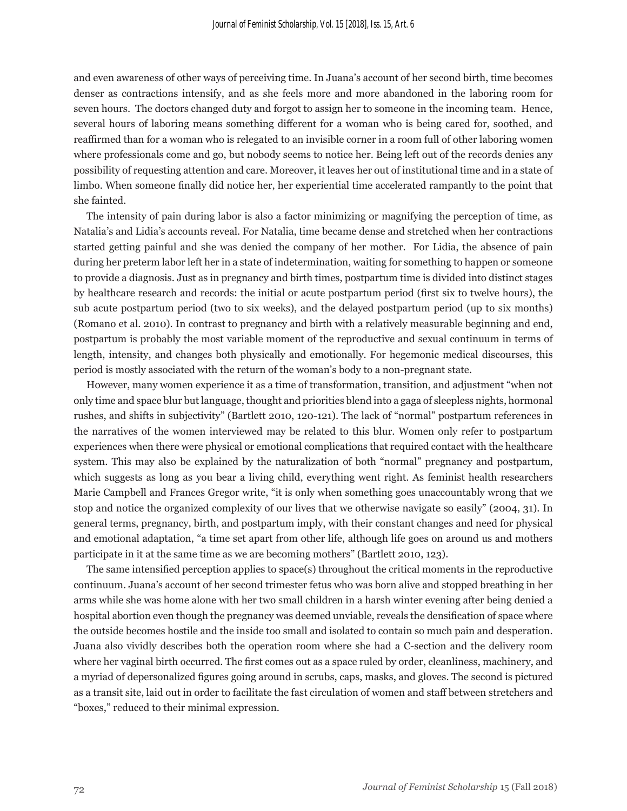and even awareness of other ways of perceiving time. In Juana's account of her second birth, time becomes denser as contractions intensify, and as she feels more and more abandoned in the laboring room for seven hours. The doctors changed duty and forgot to assign her to someone in the incoming team. Hence, several hours of laboring means something different for a woman who is being cared for, soothed, and reaffirmed than for a woman who is relegated to an invisible corner in a room full of other laboring women where professionals come and go, but nobody seems to notice her. Being left out of the records denies any possibility of requesting attention and care. Moreover, it leaves her out of institutional time and in a state of limbo. When someone finally did notice her, her experiential time accelerated rampantly to the point that she fainted.

The intensity of pain during labor is also a factor minimizing or magnifying the perception of time, as Natalia's and Lidia's accounts reveal. For Natalia, time became dense and stretched when her contractions started getting painful and she was denied the company of her mother. For Lidia, the absence of pain during her preterm labor left her in a state of indetermination, waiting for something to happen or someone to provide a diagnosis. Just as in pregnancy and birth times, postpartum time is divided into distinct stages by healthcare research and records: the initial or acute postpartum period (first six to twelve hours), the sub acute postpartum period (two to six weeks), and the delayed postpartum period (up to six months) (Romano et al. 2010). In contrast to pregnancy and birth with a relatively measurable beginning and end, postpartum is probably the most variable moment of the reproductive and sexual continuum in terms of length, intensity, and changes both physically and emotionally. For hegemonic medical discourses, this period is mostly associated with the return of the woman's body to a non-pregnant state.

However, many women experience it as a time of transformation, transition, and adjustment "when not only time and space blur but language, thought and priorities blend into a gaga of sleepless nights, hormonal rushes, and shifts in subjectivity" (Bartlett 2010, 120-121). The lack of "normal" postpartum references in the narratives of the women interviewed may be related to this blur. Women only refer to postpartum experiences when there were physical or emotional complications that required contact with the healthcare system. This may also be explained by the naturalization of both "normal" pregnancy and postpartum, which suggests as long as you bear a living child, everything went right. As feminist health researchers Marie Campbell and Frances Gregor write, "it is only when something goes unaccountably wrong that we stop and notice the organized complexity of our lives that we otherwise navigate so easily" (2004, 31). In general terms, pregnancy, birth, and postpartum imply, with their constant changes and need for physical and emotional adaptation, "a time set apart from other life, although life goes on around us and mothers participate in it at the same time as we are becoming mothers" (Bartlett 2010, 123).

The same intensified perception applies to space(s) throughout the critical moments in the reproductive continuum. Juana's account of her second trimester fetus who was born alive and stopped breathing in her arms while she was home alone with her two small children in a harsh winter evening after being denied a hospital abortion even though the pregnancy was deemed unviable, reveals the densification of space where the outside becomes hostile and the inside too small and isolated to contain so much pain and desperation. Juana also vividly describes both the operation room where she had a C-section and the delivery room where her vaginal birth occurred. The first comes out as a space ruled by order, cleanliness, machinery, and a myriad of depersonalized figures going around in scrubs, caps, masks, and gloves. The second is pictured as a transit site, laid out in order to facilitate the fast circulation of women and staff between stretchers and "boxes," reduced to their minimal expression.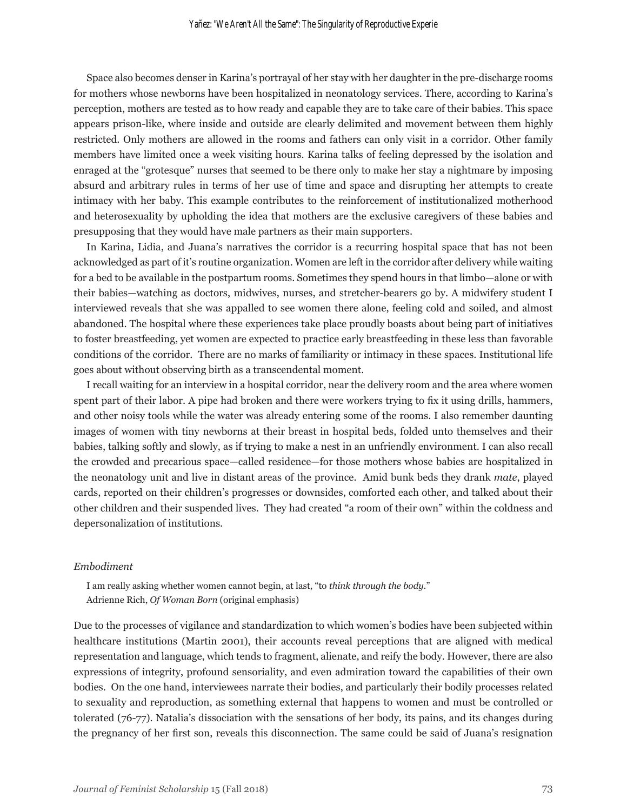Space also becomes denser in Karina's portrayal of her stay with her daughter in the pre-discharge rooms for mothers whose newborns have been hospitalized in neonatology services. There, according to Karina's perception, mothers are tested as to how ready and capable they are to take care of their babies. This space appears prison-like, where inside and outside are clearly delimited and movement between them highly restricted. Only mothers are allowed in the rooms and fathers can only visit in a corridor. Other family members have limited once a week visiting hours. Karina talks of feeling depressed by the isolation and enraged at the "grotesque" nurses that seemed to be there only to make her stay a nightmare by imposing absurd and arbitrary rules in terms of her use of time and space and disrupting her attempts to create intimacy with her baby. This example contributes to the reinforcement of institutionalized motherhood and heterosexuality by upholding the idea that mothers are the exclusive caregivers of these babies and presupposing that they would have male partners as their main supporters.

In Karina, Lidia, and Juana's narratives the corridor is a recurring hospital space that has not been acknowledged as part of it's routine organization. Women are left in the corridor after delivery while waiting for a bed to be available in the postpartum rooms. Sometimes they spend hours in that limbo—alone or with their babies—watching as doctors, midwives, nurses, and stretcher-bearers go by. A midwifery student I interviewed reveals that she was appalled to see women there alone, feeling cold and soiled, and almost abandoned. The hospital where these experiences take place proudly boasts about being part of initiatives to foster breastfeeding, yet women are expected to practice early breastfeeding in these less than favorable conditions of the corridor. There are no marks of familiarity or intimacy in these spaces. Institutional life goes about without observing birth as a transcendental moment.

I recall waiting for an interview in a hospital corridor, near the delivery room and the area where women spent part of their labor. A pipe had broken and there were workers trying to fix it using drills, hammers, and other noisy tools while the water was already entering some of the rooms. I also remember daunting images of women with tiny newborns at their breast in hospital beds, folded unto themselves and their babies, talking softly and slowly, as if trying to make a nest in an unfriendly environment. I can also recall the crowded and precarious space—called residence—for those mothers whose babies are hospitalized in the neonatology unit and live in distant areas of the province. Amid bunk beds they drank *mate*, played cards, reported on their children's progresses or downsides, comforted each other, and talked about their other children and their suspended lives. They had created "a room of their own" within the coldness and depersonalization of institutions.

#### *Embodiment*

I am really asking whether women cannot begin, at last, "to *think through the body.*" Adrienne Rich, *Of Woman Born* (original emphasis)

Due to the processes of vigilance and standardization to which women's bodies have been subjected within healthcare institutions (Martin 2001), their accounts reveal perceptions that are aligned with medical representation and language, which tends to fragment, alienate, and reify the body. However, there are also expressions of integrity, profound sensoriality, and even admiration toward the capabilities of their own bodies. On the one hand, interviewees narrate their bodies, and particularly their bodily processes related to sexuality and reproduction, as something external that happens to women and must be controlled or tolerated (76-77). Natalia's dissociation with the sensations of her body, its pains, and its changes during the pregnancy of her first son, reveals this disconnection. The same could be said of Juana's resignation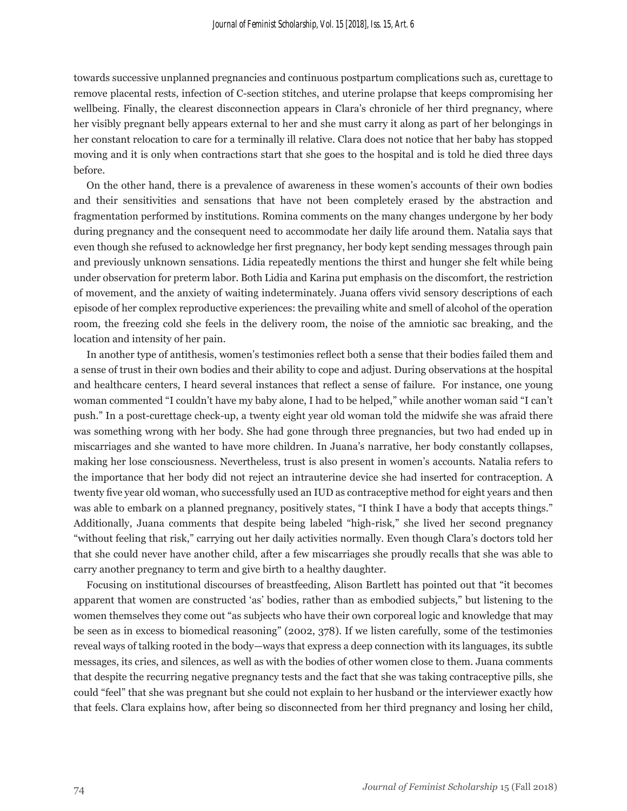towards successive unplanned pregnancies and continuous postpartum complications such as, curettage to remove placental rests, infection of C-section stitches, and uterine prolapse that keeps compromising her wellbeing. Finally, the clearest disconnection appears in Clara's chronicle of her third pregnancy, where her visibly pregnant belly appears external to her and she must carry it along as part of her belongings in her constant relocation to care for a terminally ill relative. Clara does not notice that her baby has stopped moving and it is only when contractions start that she goes to the hospital and is told he died three days before.

On the other hand, there is a prevalence of awareness in these women's accounts of their own bodies and their sensitivities and sensations that have not been completely erased by the abstraction and fragmentation performed by institutions. Romina comments on the many changes undergone by her body during pregnancy and the consequent need to accommodate her daily life around them. Natalia says that even though she refused to acknowledge her first pregnancy, her body kept sending messages through pain and previously unknown sensations. Lidia repeatedly mentions the thirst and hunger she felt while being under observation for preterm labor. Both Lidia and Karina put emphasis on the discomfort, the restriction of movement, and the anxiety of waiting indeterminately. Juana offers vivid sensory descriptions of each episode of her complex reproductive experiences: the prevailing white and smell of alcohol of the operation room, the freezing cold she feels in the delivery room, the noise of the amniotic sac breaking, and the location and intensity of her pain.

In another type of antithesis, women's testimonies reflect both a sense that their bodies failed them and a sense of trust in their own bodies and their ability to cope and adjust. During observations at the hospital and healthcare centers, I heard several instances that reflect a sense of failure. For instance, one young woman commented "I couldn't have my baby alone, I had to be helped," while another woman said "I can't push." In a post-curettage check-up, a twenty eight year old woman told the midwife she was afraid there was something wrong with her body. She had gone through three pregnancies, but two had ended up in miscarriages and she wanted to have more children. In Juana's narrative, her body constantly collapses, making her lose consciousness. Nevertheless, trust is also present in women's accounts. Natalia refers to the importance that her body did not reject an intrauterine device she had inserted for contraception. A twenty five year old woman, who successfully used an IUD as contraceptive method for eight years and then was able to embark on a planned pregnancy, positively states, "I think I have a body that accepts things." Additionally, Juana comments that despite being labeled "high-risk," she lived her second pregnancy "without feeling that risk," carrying out her daily activities normally. Even though Clara's doctors told her that she could never have another child, after a few miscarriages she proudly recalls that she was able to carry another pregnancy to term and give birth to a healthy daughter.

Focusing on institutional discourses of breastfeeding, Alison Bartlett has pointed out that "it becomes apparent that women are constructed 'as' bodies, rather than as embodied subjects," but listening to the women themselves they come out "as subjects who have their own corporeal logic and knowledge that may be seen as in excess to biomedical reasoning" (2002, 378). If we listen carefully, some of the testimonies reveal ways of talking rooted in the body—ways that express a deep connection with its languages, its subtle messages, its cries, and silences, as well as with the bodies of other women close to them. Juana comments that despite the recurring negative pregnancy tests and the fact that she was taking contraceptive pills, she could "feel" that she was pregnant but she could not explain to her husband or the interviewer exactly how that feels. Clara explains how, after being so disconnected from her third pregnancy and losing her child,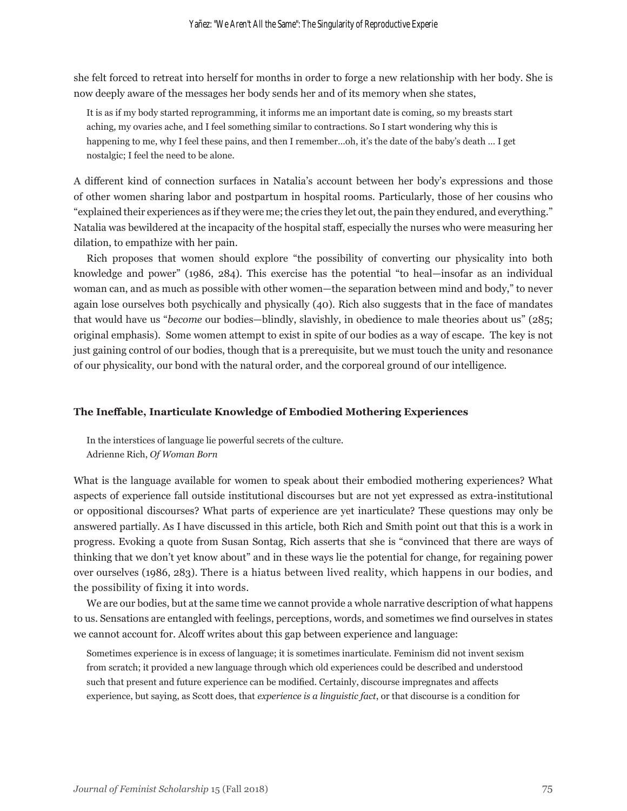she felt forced to retreat into herself for months in order to forge a new relationship with her body. She is now deeply aware of the messages her body sends her and of its memory when she states,

It is as if my body started reprogramming, it informs me an important date is coming, so my breasts start aching, my ovaries ache, and I feel something similar to contractions. So I start wondering why this is happening to me, why I feel these pains, and then I remember…oh, it's the date of the baby's death … I get nostalgic; I feel the need to be alone.

A different kind of connection surfaces in Natalia's account between her body's expressions and those of other women sharing labor and postpartum in hospital rooms. Particularly, those of her cousins who "explained their experiences as if they were me; the cries they let out, the pain they endured, and everything." Natalia was bewildered at the incapacity of the hospital staff, especially the nurses who were measuring her dilation, to empathize with her pain.

Rich proposes that women should explore "the possibility of converting our physicality into both knowledge and power" (1986, 284). This exercise has the potential "to heal—insofar as an individual woman can, and as much as possible with other women—the separation between mind and body," to never again lose ourselves both psychically and physically (40). Rich also suggests that in the face of mandates that would have us "*become* our bodies—blindly, slavishly, in obedience to male theories about us" (285; original emphasis). Some women attempt to exist in spite of our bodies as a way of escape. The key is not just gaining control of our bodies, though that is a prerequisite, but we must touch the unity and resonance of our physicality, our bond with the natural order, and the corporeal ground of our intelligence.

#### **The Ineffable, Inarticulate Knowledge of Embodied Mothering Experiences**

In the interstices of language lie powerful secrets of the culture. Adrienne Rich, *Of Woman Born*

What is the language available for women to speak about their embodied mothering experiences? What aspects of experience fall outside institutional discourses but are not yet expressed as extra-institutional or oppositional discourses? What parts of experience are yet inarticulate? These questions may only be answered partially. As I have discussed in this article, both Rich and Smith point out that this is a work in progress. Evoking a quote from Susan Sontag, Rich asserts that she is "convinced that there are ways of thinking that we don't yet know about" and in these ways lie the potential for change, for regaining power over ourselves (1986, 283). There is a hiatus between lived reality, which happens in our bodies, and the possibility of fixing it into words.

We are our bodies, but at the same time we cannot provide a whole narrative description of what happens to us. Sensations are entangled with feelings, perceptions, words, and sometimes we find ourselves in states we cannot account for. Alcoff writes about this gap between experience and language:

Sometimes experience is in excess of language; it is sometimes inarticulate. Feminism did not invent sexism from scratch; it provided a new language through which old experiences could be described and understood such that present and future experience can be modified. Certainly, discourse impregnates and affects experience, but saying, as Scott does, that *experience is a linguistic fact*, or that discourse is a condition for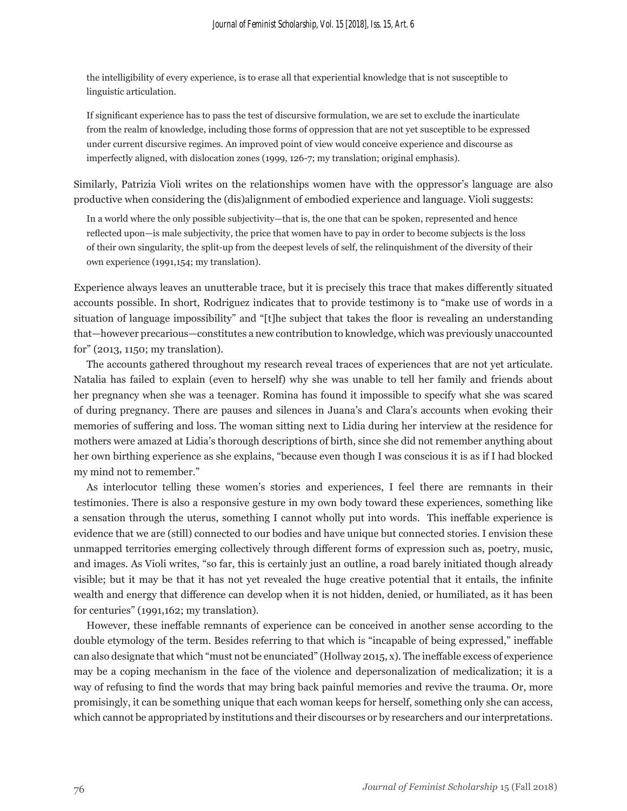the intelligibility of every experience, is to erase all that experiential knowledge that is not susceptible to linguistic articulation.

If significant experience has to pass the test of discursive formulation, we are set to exclude the inarticulate from the realm of knowledge, including those forms of oppression that are not yet susceptible to be expressed under current discursive regimes. An improved point of view would conceive experience and discourse as imperfectly aligned, with dislocation zones (1999, 126-7; my translation; original emphasis).

Similarly, Patrizia Violi writes on the relationships women have with the oppressor's language are also productive when considering the (dis)alignment of embodied experience and language. Violi suggests:

In a world where the only possible subjectivity—that is, the one that can be spoken, represented and hence reflected upon—is male subjectivity, the price that women have to pay in order to become subjects is the loss of their own singularity, the split-up from the deepest levels of self, the relinquishment of the diversity of their own experience (1991,154; my translation).

Experience always leaves an unutterable trace, but it is precisely this trace that makes differently situated accounts possible. In short, Rodriguez indicates that to provide testimony is to "make use of words in a situation of language impossibility" and "[t]he subject that takes the floor is revealing an understanding that—however precarious—constitutes a new contribution to knowledge, which was previously unaccounted for" (2013, 1150; my translation).

The accounts gathered throughout my research reveal traces of experiences that are not yet articulate. Natalia has failed to explain (even to herself) why she was unable to tell her family and friends about her pregnancy when she was a teenager. Romina has found it impossible to specify what she was scared of during pregnancy. There are pauses and silences in Juana's and Clara's accounts when evoking their memories of suffering and loss. The woman sitting next to Lidia during her interview at the residence for mothers were amazed at Lidia's thorough descriptions of birth, since she did not remember anything about her own birthing experience as she explains, "because even though I was conscious it is as if I had blocked my mind not to remember."

As interlocutor telling these women's stories and experiences, I feel there are remnants in their testimonies. There is also a responsive gesture in my own body toward these experiences, something like a sensation through the uterus, something I cannot wholly put into words. This ineffable experience is evidence that we are (still) connected to our bodies and have unique but connected stories. I envision these unmapped territories emerging collectively through different forms of expression such as, poetry, music, and images. As Violi writes, "so far, this is certainly just an outline, a road barely initiated though already visible; but it may be that it has not yet revealed the huge creative potential that it entails, the infinite wealth and energy that difference can develop when it is not hidden, denied, or humiliated, as it has been for centuries" (1991,162; my translation).

However, these ineffable remnants of experience can be conceived in another sense according to the double etymology of the term. Besides referring to that which is "incapable of being expressed," ineffable can also designate that which "must not be enunciated" (Hollway 2015, x). The ineffable excess of experience may be a coping mechanism in the face of the violence and depersonalization of medicalization; it is a way of refusing to find the words that may bring back painful memories and revive the trauma. Or, more promisingly, it can be something unique that each woman keeps for herself, something only she can access, which cannot be appropriated by institutions and their discourses or by researchers and our interpretations.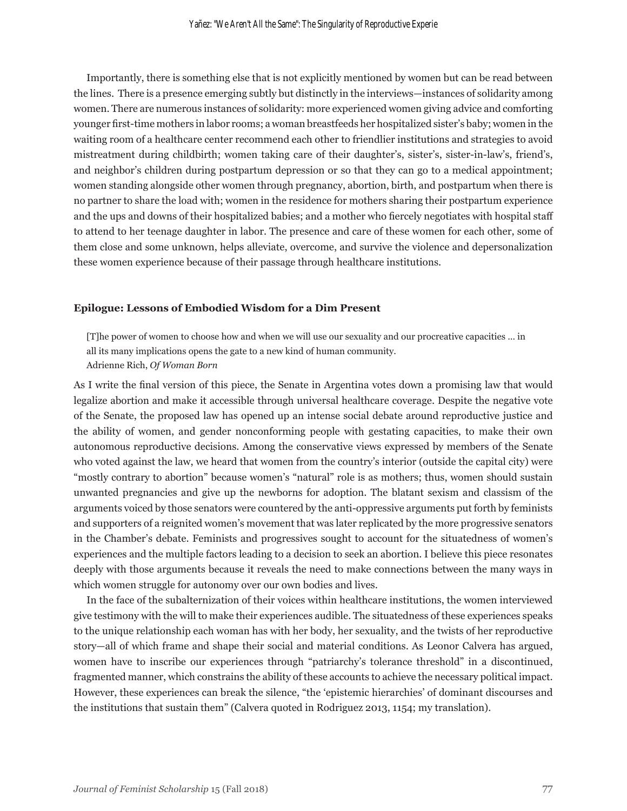Importantly, there is something else that is not explicitly mentioned by women but can be read between the lines. There is a presence emerging subtly but distinctly in the interviews—instances of solidarity among women. There are numerous instances of solidarity: more experienced women giving advice and comforting younger first-time mothers in labor rooms; a woman breastfeeds her hospitalized sister's baby; women in the waiting room of a healthcare center recommend each other to friendlier institutions and strategies to avoid mistreatment during childbirth; women taking care of their daughter's, sister's, sister-in-law's, friend's, and neighbor's children during postpartum depression or so that they can go to a medical appointment; women standing alongside other women through pregnancy, abortion, birth, and postpartum when there is no partner to share the load with; women in the residence for mothers sharing their postpartum experience and the ups and downs of their hospitalized babies; and a mother who fiercely negotiates with hospital staff to attend to her teenage daughter in labor. The presence and care of these women for each other, some of them close and some unknown, helps alleviate, overcome, and survive the violence and depersonalization these women experience because of their passage through healthcare institutions.

#### **Epilogue: Lessons of Embodied Wisdom for a Dim Present**

[T]he power of women to choose how and when we will use our sexuality and our procreative capacities … in all its many implications opens the gate to a new kind of human community. Adrienne Rich, *Of Woman Born*

As I write the final version of this piece, the Senate in Argentina votes down a promising law that would legalize abortion and make it accessible through universal healthcare coverage. Despite the negative vote of the Senate, the proposed law has opened up an intense social debate around reproductive justice and the ability of women, and gender nonconforming people with gestating capacities, to make their own autonomous reproductive decisions. Among the conservative views expressed by members of the Senate who voted against the law, we heard that women from the country's interior (outside the capital city) were "mostly contrary to abortion" because women's "natural" role is as mothers; thus, women should sustain unwanted pregnancies and give up the newborns for adoption. The blatant sexism and classism of the arguments voiced by those senators were countered by the anti-oppressive arguments put forth by feminists and supporters of a reignited women's movement that was later replicated by the more progressive senators in the Chamber's debate. Feminists and progressives sought to account for the situatedness of women's experiences and the multiple factors leading to a decision to seek an abortion. I believe this piece resonates deeply with those arguments because it reveals the need to make connections between the many ways in which women struggle for autonomy over our own bodies and lives.

In the face of the subalternization of their voices within healthcare institutions, the women interviewed give testimony with the will to make their experiences audible. The situatedness of these experiences speaks to the unique relationship each woman has with her body, her sexuality, and the twists of her reproductive story—all of which frame and shape their social and material conditions. As Leonor Calvera has argued, women have to inscribe our experiences through "patriarchy's tolerance threshold" in a discontinued, fragmented manner, which constrains the ability of these accounts to achieve the necessary political impact. However, these experiences can break the silence, "the 'epistemic hierarchies' of dominant discourses and the institutions that sustain them" (Calvera quoted in Rodriguez 2013, 1154; my translation).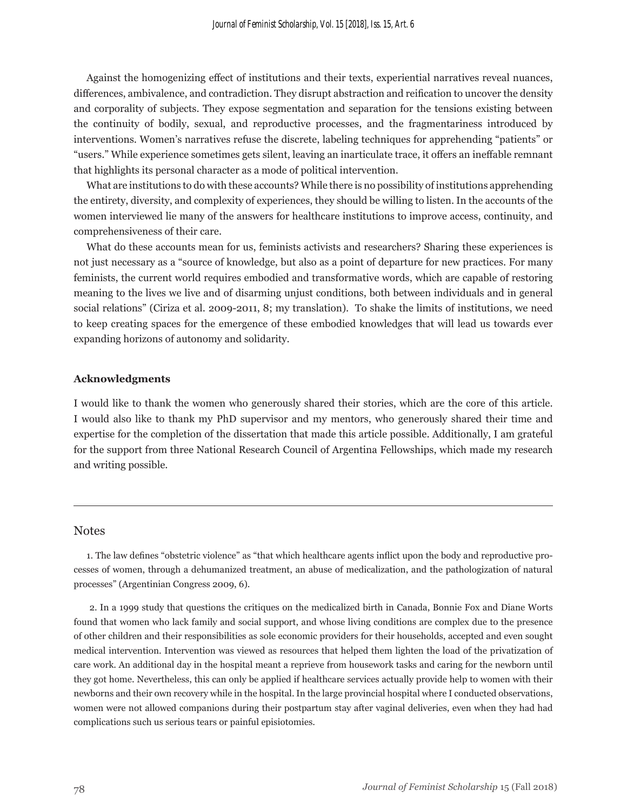Against the homogenizing effect of institutions and their texts, experiential narratives reveal nuances, differences, ambivalence, and contradiction. They disrupt abstraction and reification to uncover the density and corporality of subjects. They expose segmentation and separation for the tensions existing between the continuity of bodily, sexual, and reproductive processes, and the fragmentariness introduced by interventions. Women's narratives refuse the discrete, labeling techniques for apprehending "patients" or "users." While experience sometimes gets silent, leaving an inarticulate trace, it offers an ineffable remnant that highlights its personal character as a mode of political intervention.

What are institutions to do with these accounts? While there is no possibility of institutions apprehending the entirety, diversity, and complexity of experiences, they should be willing to listen. In the accounts of the women interviewed lie many of the answers for healthcare institutions to improve access, continuity, and comprehensiveness of their care.

What do these accounts mean for us, feminists activists and researchers? Sharing these experiences is not just necessary as a "source of knowledge, but also as a point of departure for new practices. For many feminists, the current world requires embodied and transformative words, which are capable of restoring meaning to the lives we live and of disarming unjust conditions, both between individuals and in general social relations" (Ciriza et al. 2009-2011, 8; my translation). To shake the limits of institutions, we need to keep creating spaces for the emergence of these embodied knowledges that will lead us towards ever expanding horizons of autonomy and solidarity.

#### **Acknowledgments**

I would like to thank the women who generously shared their stories, which are the core of this article. I would also like to thank my PhD supervisor and my mentors, who generously shared their time and expertise for the completion of the dissertation that made this article possible. Additionally, I am grateful for the support from three National Research Council of Argentina Fellowships, which made my research and writing possible.

#### **Notes**

1. The law defines "obstetric violence" as "that which healthcare agents inflict upon the body and reproductive processes of women, through a dehumanized treatment, an abuse of medicalization, and the pathologization of natural processes" (Argentinian Congress 2009, 6).

 2. In a 1999 study that questions the critiques on the medicalized birth in Canada, Bonnie Fox and Diane Worts found that women who lack family and social support, and whose living conditions are complex due to the presence of other children and their responsibilities as sole economic providers for their households, accepted and even sought medical intervention. Intervention was viewed as resources that helped them lighten the load of the privatization of care work. An additional day in the hospital meant a reprieve from housework tasks and caring for the newborn until they got home. Nevertheless, this can only be applied if healthcare services actually provide help to women with their newborns and their own recovery while in the hospital. In the large provincial hospital where I conducted observations, women were not allowed companions during their postpartum stay after vaginal deliveries, even when they had had complications such us serious tears or painful episiotomies.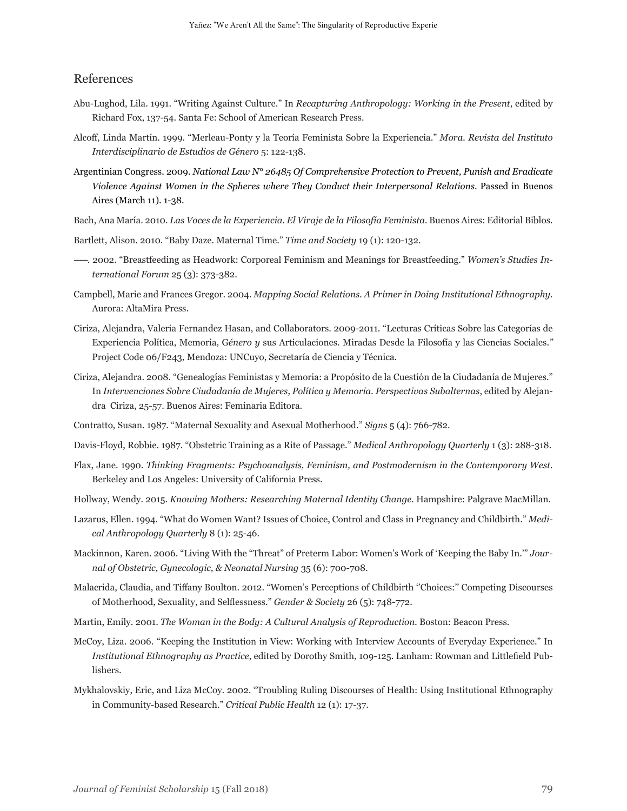### References

- Abu-Lughod, Lila. 1991. "Writing Against Culture." In *Recapturing Anthropology: Working in the Present*, edited by Richard Fox, 137-54. Santa Fe: School of American Research Press.
- Alcoff, Linda Martín. 1999. "Merleau-Ponty y la Teoría Feminista Sobre la Experiencia." *Mora. Revista del Instituto Interdisciplinario de Estudios de Género* 5: 122-138.
- Argentinian Congress. 2009. *National Law N° 26485 Of Comprehensive Protection to Prevent, Punish and Eradicate Violence Against Women in the Spheres where They Conduct their Interpersonal Relations*. Passed in Buenos Aires (March 11). 1-38.
- Bach, Ana María. 2010. *Las Voces de la Experiencia. El Viraje de la Filosofía Feminista.* Buenos Aires: Editorial Biblos.
- Bartlett, Alison. 2010. "Baby Daze. Maternal Time." *Time and Society* 19 (1): 120-132.
- -----. 2002. "Breastfeeding as Headwork: Corporeal Feminism and Meanings for Breastfeeding." *Women's Studies International Forum* 25 (3): 373-382.
- Campbell, Marie and Frances Gregor. 2004. *Mapping Social Relations. A Primer in Doing Institutional Ethnography.* Aurora: AltaMira Press.
- Ciriza, Alejandra, Valeria Fernandez Hasan, and Collaborators. 2009-2011. "Lecturas Críticas Sobre las Categorías de Experiencia Política, Memoria, G*énero y* sus Articulaciones. Miradas Desde la Filosofía y las Ciencias Sociales.*"* Project Code 06/F243, Mendoza: UNCuyo, Secretaría de Ciencia y Técnica.
- Ciriza, Alejandra. 2008. "Genealogías Feministas y Memoria: a Propósito de la Cuestión de la Ciudadanía de Mujeres." In *Intervenciones Sobre Ciudadanía de Mujeres, Política y Memoria. Perspectivas Subalternas*, edited by Alejandra Ciriza, 25-57. Buenos Aires: Feminaria Editora.
- Contratto, Susan. 1987. "Maternal Sexuality and Asexual Motherhood." *Signs* 5 (4): 766-782.

Davis-Floyd, Robbie. 1987. "Obstetric Training as a Rite of Passage." *Medical Anthropology Quarterly* 1 (3): 288-318.

- Flax, Jane. 1990. *Thinking Fragments: Psychoanalysis, Feminism, and Postmodernism in the Contemporary West.* Berkeley and Los Angeles: University of California Press.
- Hollway, Wendy. 2015. *Knowing Mothers: Researching Maternal Identity Change*. Hampshire: Palgrave MacMillan.
- Lazarus, Ellen. 1994. "What do Women Want? Issues of Choice, Control and Class in Pregnancy and Childbirth." *Medical Anthropology Quarterly* 8 (1): 25-46.
- Mackinnon, Karen. 2006. "Living With the "Threat" of Preterm Labor: Women's Work of 'Keeping the Baby In.'" *Journal of Obstetric, Gynecologic, & Neonatal Nursing* 35 (6): 700-708.
- Malacrida, Claudia, and Tiffany Boulton. 2012. "Women's Perceptions of Childbirth ''Choices:'' Competing Discourses of Motherhood, Sexuality, and Selflessness." *Gender & Society* 26 (5): 748-772.
- Martin, Emily. 2001. *The Woman in the Body: A Cultural Analysis of Reproduction.* Boston: Beacon Press.
- McCoy, Liza. 2006. "Keeping the Institution in View: Working with Interview Accounts of Everyday Experience." In *Institutional Ethnography as Practice*, edited by Dorothy Smith, 109-125. Lanham: Rowman and Littlefield Publishers.
- Mykhalovskiy, Eric, and Liza McCoy. 2002. "Troubling Ruling Discourses of Health: Using Institutional Ethnography in Community-based Research." *Critical Public Health* 12 (1): 17-37.